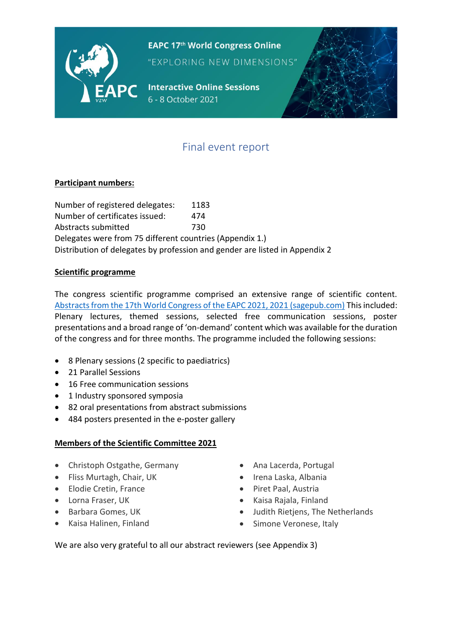

**EAPC 17th World Congress Online** 

"EXPLORING NEW DIMENSIONS"

**Interactive Online Sessions** 6 - 8 October 2021



# Final event report

### **Participant numbers:**

Number of registered delegates: 1183 Number of certificates issued: 474 Abstracts submitted 730 Delegates were from 75 different countries (Appendix 1.) Distribution of delegates by profession and gender are listed in Appendix 2

#### **Scientific programme**

The congress scientific programme comprised an extensive range of scientific content. [Abstracts from the 17th World Congress of the EAPC 2021, 2021 \(sagepub.com\)](https://journals.sagepub.com/doi/full/10.1177/02692163211035909) This included: Plenary lectures, themed sessions, selected free communication sessions, poster presentations and a broad range of 'on-demand' content which was available for the duration of the congress and for three months. The programme included the following sessions:

- 8 Plenary sessions (2 specific to paediatrics)
- 21 Parallel Sessions
- 16 Free communication sessions
- 1 Industry sponsored symposia
- 82 oral presentations from abstract submissions
- 484 posters presented in the e-poster gallery

#### **Members of the Scientific Committee 2021**

- Christoph Ostgathe, Germany
- Fliss Murtagh, Chair, UK
- Elodie Cretin, France
- Lorna Fraser, UK
- Barbara Gomes, UK
- Kaisa Halinen, Finland
- Ana Lacerda, Portugal
- Irena Laska, Albania
- Piret Paal, Austria
- Kaisa Rajala, Finland
- Judith Rietjens, The Netherlands
- Simone Veronese, Italy

We are also very grateful to all our abstract reviewers (see Appendix 3)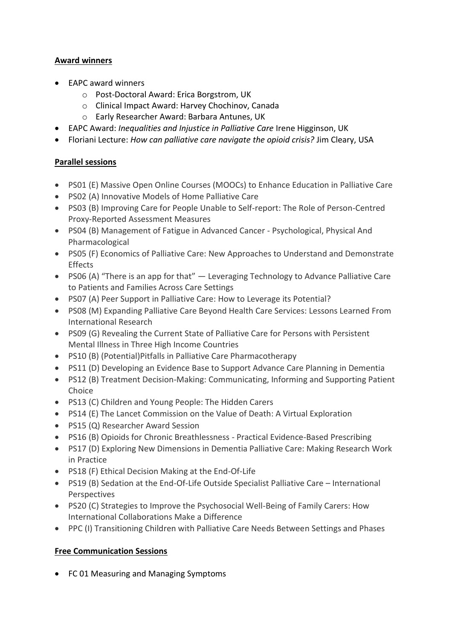### **Award winners**

- EAPC award winners
	- o Post-Doctoral Award: Erica Borgstrom, UK
	- o Clinical Impact Award: Harvey Chochinov, Canada
	- o Early Researcher Award: Barbara Antunes, UK
- EAPC Award: *Inequalities and Injustice in Palliative Care* Irene Higginson, UK
- Floriani Lecture: *How can palliative care navigate the opioid crisis?* Jim Cleary, USA

### **Parallel sessions**

- PS01 (E) Massive Open Online Courses (MOOCs) to Enhance Education in Palliative Care
- PS02 (A) Innovative Models of Home Palliative Care
- PS03 (B) Improving Care for People Unable to Self-report: The Role of Person-Centred Proxy-Reported Assessment Measures
- PS04 (B) Management of Fatigue in Advanced Cancer Psychological, Physical And Pharmacological
- PS05 (F) Economics of Palliative Care: New Approaches to Understand and Demonstrate Effects
- PS06 (A) "There is an app for that" Leveraging Technology to Advance Palliative Care to Patients and Families Across Care Settings
- PS07 (A) Peer Support in Palliative Care: How to Leverage its Potential?
- PS08 (M) Expanding Palliative Care Beyond Health Care Services: Lessons Learned From International Research
- PS09 (G) Revealing the Current State of Palliative Care for Persons with Persistent Mental Illness in Three High Income Countries
- PS10 (B) (Potential)Pitfalls in Palliative Care Pharmacotherapy
- PS11 (D) Developing an Evidence Base to Support Advance Care Planning in Dementia
- PS12 (B) Treatment Decision-Making: Communicating, Informing and Supporting Patient Choice
- PS13 (C) Children and Young People: The Hidden Carers
- PS14 (E) The Lancet Commission on the Value of Death: A Virtual Exploration
- PS15 (Q) Researcher Award Session
- PS16 (B) Opioids for Chronic Breathlessness Practical Evidence-Based Prescribing
- PS17 (D) Exploring New Dimensions in Dementia Palliative Care: Making Research Work in Practice
- PS18 (F) Ethical Decision Making at the End-Of-Life
- PS19 (B) Sedation at the End-Of-Life Outside Specialist Palliative Care International Perspectives
- PS20 (C) Strategies to Improve the Psychosocial Well-Being of Family Carers: How International Collaborations Make a Difference
- PPC (I) Transitioning Children with Palliative Care Needs Between Settings and Phases

### **Free Communication Sessions**

• FC 01 Measuring and Managing Symptoms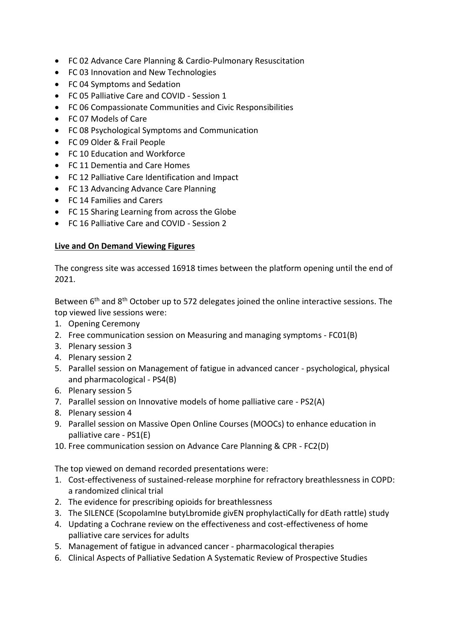- FC 02 Advance Care Planning & Cardio-Pulmonary Resuscitation
- FC 03 Innovation and New Technologies
- FC 04 Symptoms and Sedation
- FC 05 Palliative Care and COVID Session 1
- FC 06 Compassionate Communities and Civic Responsibilities
- FC 07 Models of Care
- FC 08 Psychological Symptoms and Communication
- FC 09 Older & Frail People
- FC 10 Education and Workforce
- FC 11 Dementia and Care Homes
- FC 12 Palliative Care Identification and Impact
- FC 13 Advancing Advance Care Planning
- FC 14 Families and Carers
- FC 15 Sharing Learning from across the Globe
- FC 16 Palliative Care and COVID Session 2

#### **Live and On Demand Viewing Figures**

The congress site was accessed 16918 times between the platform opening until the end of 2021.

Between  $6<sup>th</sup>$  and  $8<sup>th</sup>$  October up to 572 delegates joined the online interactive sessions. The top viewed live sessions were:

- 1. Opening Ceremony
- 2. Free communication session on Measuring and managing symptoms FC01(B)
- 3. Plenary session 3
- 4. Plenary session 2
- 5. Parallel session on Management of fatigue in advanced cancer psychological, physical and pharmacological - PS4(B)
- 6. Plenary session 5
- 7. Parallel session on Innovative models of home palliative care PS2(A)
- 8. Plenary session 4
- 9. Parallel session on Massive Open Online Courses (MOOCs) to enhance education in palliative care - PS1(E)
- 10. Free communication session on Advance Care Planning & CPR FC2(D)

The top viewed on demand recorded presentations were:

- 1. Cost-effectiveness of sustained-release morphine for refractory breathlessness in COPD: a randomized clinical trial
- 2. The evidence for prescribing opioids for breathlessness
- 3. The SILENCE (ScopolamIne butyLbromide givEN prophylactiCally for dEath rattle) study
- 4. Updating a Cochrane review on the effectiveness and cost-effectiveness of home palliative care services for adults
- 5. Management of fatigue in advanced cancer pharmacological therapies
- 6. Clinical Aspects of Palliative Sedation A Systematic Review of Prospective Studies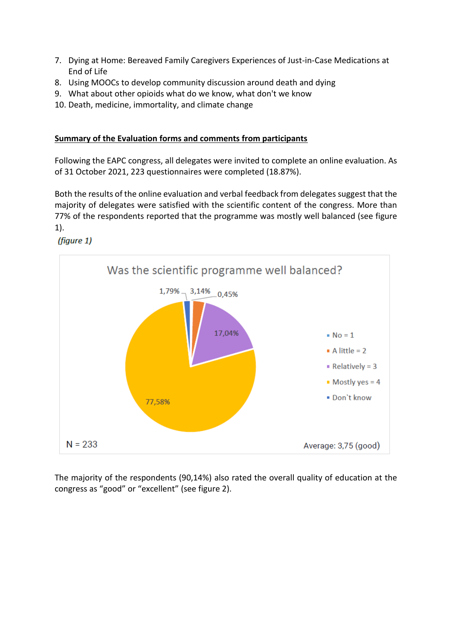- 7. Dying at Home: Bereaved Family Caregivers Experiences of Just-in-Case Medications at End of Life
- 8. Using MOOCs to develop community discussion around death and dying
- 9. What about other opioids what do we know, what don't we know
- 10. Death, medicine, immortality, and climate change

#### **Summary of the Evaluation forms and comments from participants**

Following the EAPC congress, all delegates were invited to complete an online evaluation. As of 31 October 2021, 223 questionnaires were completed (18.87%).

Both the results of the online evaluation and verbal feedback from delegates suggest that the majority of delegates were satisfied with the scientific content of the congress. More than 77% of the respondents reported that the programme was mostly well balanced (see figure 1).

(figure 1)



The majority of the respondents (90,14%) also rated the overall quality of education at the congress as "good" or "excellent" (see figure 2).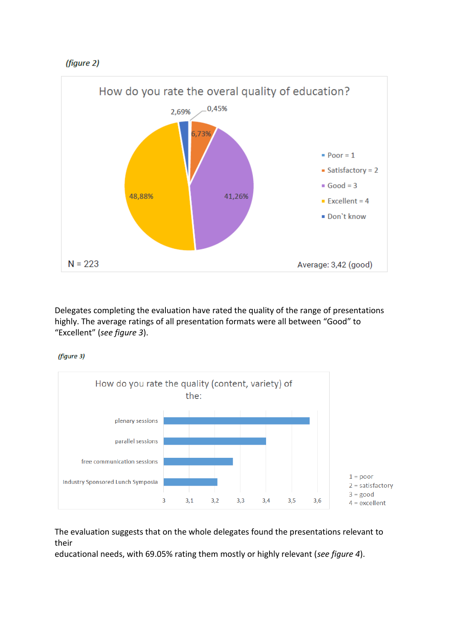



Delegates completing the evaluation have rated the quality of the range of presentations highly. The average ratings of all presentation formats were all between "Good" to "Excellent" (*see figure 3*).

(figure 3)



The evaluation suggests that on the whole delegates found the presentations relevant to their

educational needs, with 69.05% rating them mostly or highly relevant (*see figure 4*).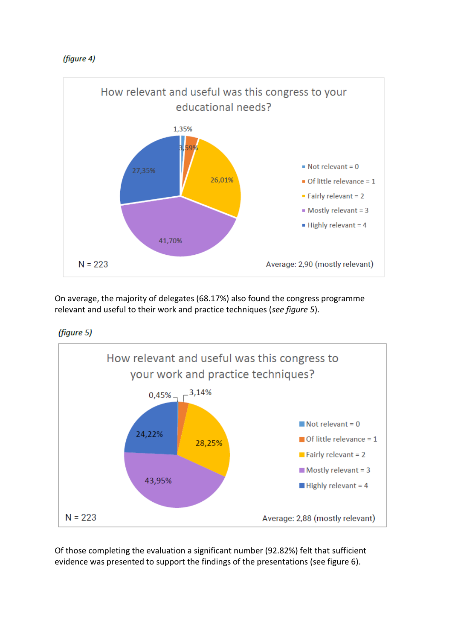



On average, the majority of delegates (68.17%) also found the congress programme relevant and useful to their work and practice techniques (*see figure 5*).

(figure 5)



Of those completing the evaluation a significant number (92.82%) felt that sufficient evidence was presented to support the findings of the presentations (see figure 6).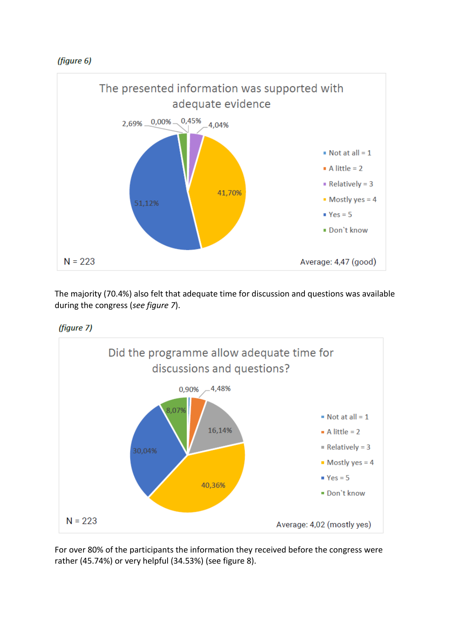



The majority (70.4%) also felt that adequate time for discussion and questions was available during the congress (*see figure 7*).





For over 80% of the participants the information they received before the congress were rather (45.74%) or very helpful (34.53%) (see figure 8).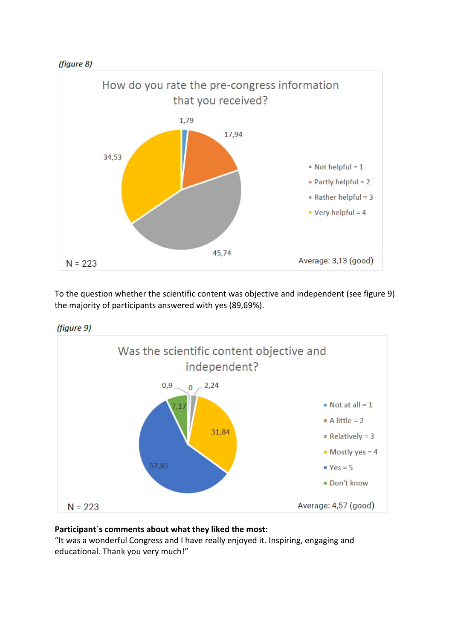



To the question whether the scientific content was objective and independent (see figure 9) the majority of participants answered with yes (89,69%).





### **Participant`s comments about what they liked the most:**

"It was a wonderful Congress and I have really enjoyed it. Inspiring, engaging and educational. Thank you very much!"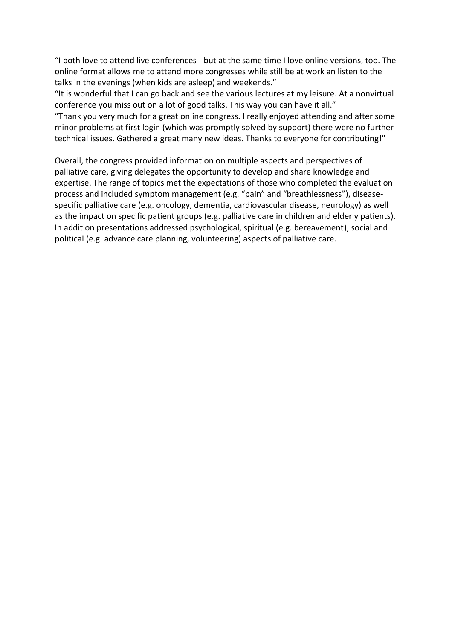"I both love to attend live conferences - but at the same time I love online versions, too. The online format allows me to attend more congresses while still be at work an listen to the talks in the evenings (when kids are asleep) and weekends."

"It is wonderful that I can go back and see the various lectures at my leisure. At a nonvirtual conference you miss out on a lot of good talks. This way you can have it all."

"Thank you very much for a great online congress. I really enjoyed attending and after some minor problems at first login (which was promptly solved by support) there were no further technical issues. Gathered a great many new ideas. Thanks to everyone for contributing!"

Overall, the congress provided information on multiple aspects and perspectives of palliative care, giving delegates the opportunity to develop and share knowledge and expertise. The range of topics met the expectations of those who completed the evaluation process and included symptom management (e.g. "pain" and "breathlessness"), diseasespecific palliative care (e.g. oncology, dementia, cardiovascular disease, neurology) as well as the impact on specific patient groups (e.g. palliative care in children and elderly patients). In addition presentations addressed psychological, spiritual (e.g. bereavement), social and political (e.g. advance care planning, volunteering) aspects of palliative care.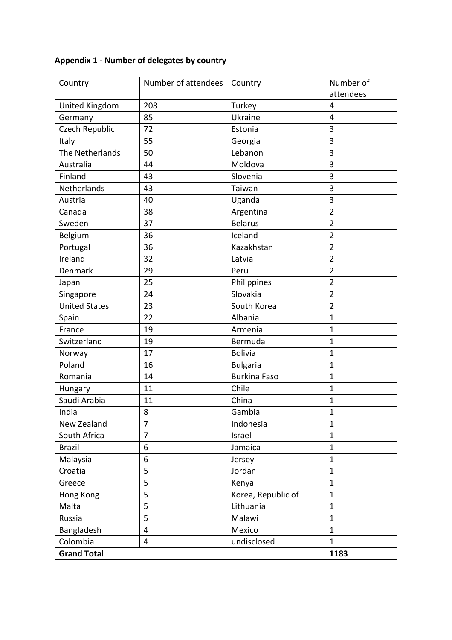## **Appendix 1 - Number of delegates by country**

| Country              | Number of attendees | Country             | Number of      |
|----------------------|---------------------|---------------------|----------------|
|                      |                     |                     | attendees      |
| United Kingdom       | 208                 | Turkey              | $\overline{4}$ |
| Germany              | 85                  | Ukraine             | $\overline{4}$ |
| Czech Republic       | 72                  | Estonia             | 3              |
| Italy                | 55                  | Georgia             | 3              |
| The Netherlands      | 50                  | Lebanon             | 3              |
| Australia            | 44                  | Moldova             | 3              |
| Finland              | 43                  | Slovenia            | 3              |
| Netherlands          | 43                  | Taiwan              | 3              |
| Austria              | 40                  | Uganda              | 3              |
| Canada               | 38                  | Argentina           | $\overline{2}$ |
| Sweden               | 37                  | <b>Belarus</b>      | $\overline{2}$ |
| Belgium              | 36                  | Iceland             | $\overline{2}$ |
| Portugal             | 36                  | Kazakhstan          | $\overline{2}$ |
| Ireland              | 32                  | Latvia              | $\overline{2}$ |
| <b>Denmark</b>       | 29                  | Peru                | $\overline{2}$ |
| Japan                | 25                  | Philippines         | $\overline{2}$ |
| Singapore            | 24                  | Slovakia            | $\overline{2}$ |
| <b>United States</b> | 23                  | South Korea         | $\overline{2}$ |
| Spain                | 22                  | Albania             | $\mathbf{1}$   |
| France               | 19                  | Armenia             | $\mathbf{1}$   |
| Switzerland          | 19                  | Bermuda             | $\mathbf{1}$   |
| Norway               | 17                  | <b>Bolivia</b>      | $\mathbf{1}$   |
| Poland               | 16                  | <b>Bulgaria</b>     | $\mathbf{1}$   |
| Romania              | 14                  | <b>Burkina Faso</b> | $\mathbf{1}$   |
| Hungary              | 11                  | Chile               | $\mathbf{1}$   |
| Saudi Arabia         | 11                  | China               | $\mathbf{1}$   |
| India                | 8                   | Gambia              | $\mathbf{1}$   |
| New Zealand          | $\overline{7}$      | Indonesia           | $\mathbf{1}$   |
| South Africa         | $\overline{7}$      | Israel              | $\mathbf{1}$   |
| <b>Brazil</b>        | 6                   | Jamaica             | $\mathbf{1}$   |
| Malaysia             | 6                   | Jersey              | $\mathbf{1}$   |
| Croatia              | 5                   | Jordan              | $\mathbf{1}$   |
| Greece               | 5                   | Kenya               | $\mathbf{1}$   |
| Hong Kong            | 5                   | Korea, Republic of  | $\mathbf{1}$   |
| Malta                | 5                   | Lithuania           | $\mathbf{1}$   |
| Russia               | 5                   | Malawi              | $\mathbf{1}$   |
| Bangladesh           | $\overline{4}$      | Mexico              | $\mathbf{1}$   |
| Colombia             | $\overline{4}$      | undisclosed         | $\mathbf{1}$   |
| <b>Grand Total</b>   | 1183                |                     |                |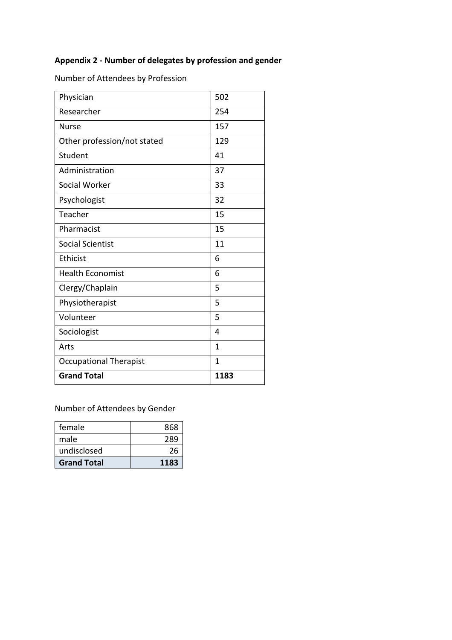## **Appendix 2 - Number of delegates by profession and gender**

Number of Attendees by Profession

| Physician                     | 502          |
|-------------------------------|--------------|
| Researcher                    | 254          |
| <b>Nurse</b>                  | 157          |
| Other profession/not stated   | 129          |
| Student                       | 41           |
| Administration                | 37           |
| Social Worker                 | 33           |
| Psychologist                  | 32           |
| Teacher                       | 15           |
| Pharmacist                    | 15           |
| <b>Social Scientist</b>       | 11           |
| <b>Ethicist</b>               | 6            |
| <b>Health Economist</b>       | 6            |
| Clergy/Chaplain               | 5            |
| Physiotherapist               | 5            |
| Volunteer                     | 5            |
| Sociologist                   | 4            |
| Arts                          | 1            |
| <b>Occupational Therapist</b> | $\mathbf{1}$ |
| <b>Grand Total</b>            | 1183         |

Number of Attendees by Gender

| female             | 868  |
|--------------------|------|
| male               | 289  |
| undisclosed        | 26   |
| <b>Grand Total</b> | 1183 |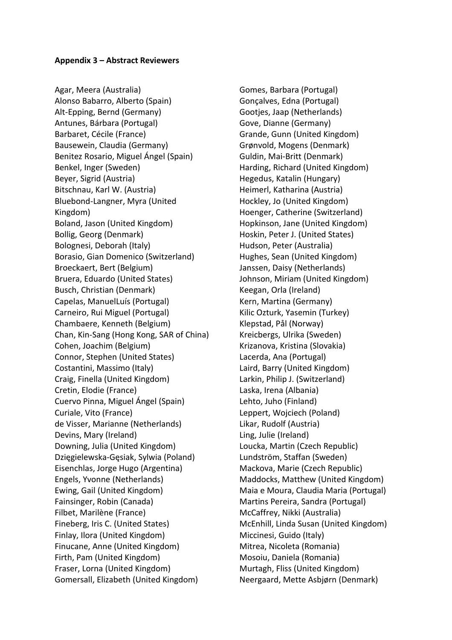#### **Appendix 3 – Abstract Reviewers**

Agar, Meera (Australia) Alonso Babarro, Alberto (Spain) Alt-Epping, Bernd (Germany) Antunes, Bárbara (Portugal) Barbaret, Cécile (France) Bausewein, Claudia (Germany) Benitez Rosario, Miguel Ángel (Spain) Benkel, Inger (Sweden) Beyer, Sigrid (Austria) Bitschnau, Karl W. (Austria) Bluebond-Langner, Myra (United Kingdom) Boland, Jason (United Kingdom) Bollig, Georg (Denmark) Bolognesi, Deborah (Italy) Borasio, Gian Domenico (Switzerland) Broeckaert, Bert (Belgium) Bruera, Eduardo (United States) Busch, Christian (Denmark) Capelas, ManuelLuís (Portugal) Carneiro, Rui Miguel (Portugal) Chambaere, Kenneth (Belgium) Chan, Kin-Sang (Hong Kong, SAR of China) Cohen, Joachim (Belgium) Connor, Stephen (United States) Costantini, Massimo (Italy) Craig, Finella (United Kingdom) Cretin, Elodie (France) Cuervo Pinna, Miguel Ángel (Spain) Curiale, Vito (France) de Visser, Marianne (Netherlands) Devins, Mary (Ireland) Downing, Julia (United Kingdom) Dzięgielewska-Gęsiak, Sylwia (Poland) Eisenchlas, Jorge Hugo (Argentina) Engels, Yvonne (Netherlands) Ewing, Gail (United Kingdom) Fainsinger, Robin (Canada) Filbet, Marilène (France) Fineberg, Iris C. (United States) Finlay, Ilora (United Kingdom) Finucane, Anne (United Kingdom) Firth, Pam (United Kingdom) Fraser, Lorna (United Kingdom) Gomersall, Elizabeth (United Kingdom)

Gomes, Barbara (Portugal) Gonçalves, Edna (Portugal) Gootjes, Jaap (Netherlands) Gove, Dianne (Germany) Grande, Gunn (United Kingdom) Grønvold, Mogens (Denmark) Guldin, Mai-Britt (Denmark) Harding, Richard (United Kingdom) Hegedus, Katalin (Hungary) Heimerl, Katharina (Austria) Hockley, Jo (United Kingdom) Hoenger, Catherine (Switzerland) Hopkinson, Jane (United Kingdom) Hoskin, Peter J. (United States) Hudson, Peter (Australia) Hughes, Sean (United Kingdom) Janssen, Daisy (Netherlands) Johnson, Miriam (United Kingdom) Keegan, Orla (Ireland) Kern, Martina (Germany) Kilic Ozturk, Yasemin (Turkey) Klepstad, Pål (Norway) Kreicbergs, Ulrika (Sweden) Krizanova, Kristina (Slovakia) Lacerda, Ana (Portugal) Laird, Barry (United Kingdom) Larkin, Philip J. (Switzerland) Laska, Irena (Albania) Lehto, Juho (Finland) Leppert, Wojciech (Poland) Likar, Rudolf (Austria) Ling, Julie (Ireland) Loucka, Martin (Czech Republic) Lundström, Staffan (Sweden) Mackova, Marie (Czech Republic) Maddocks, Matthew (United Kingdom) Maia e Moura, Claudia Maria (Portugal) Martins Pereira, Sandra (Portugal) McCaffrey, Nikki (Australia) McEnhill, Linda Susan (United Kingdom) Miccinesi, Guido (Italy) Mitrea, Nicoleta (Romania) Mosoiu, Daniela (Romania) Murtagh, Fliss (United Kingdom) Neergaard, Mette Asbjørn (Denmark)